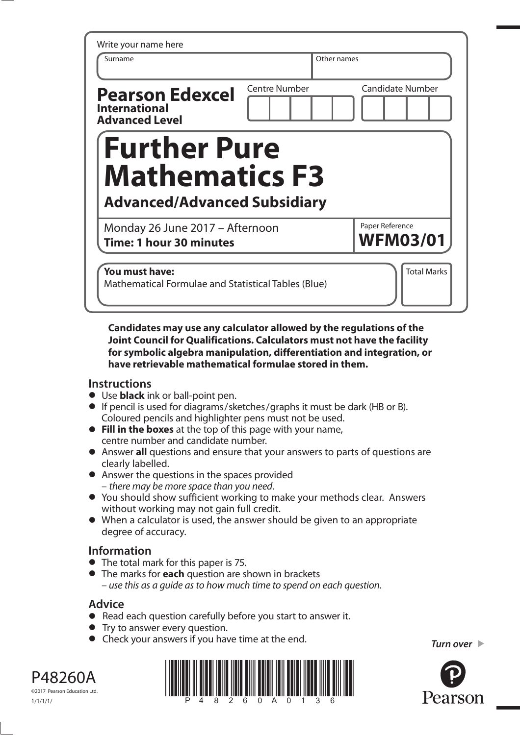| Surname                                                                 | Other names          |                                    |
|-------------------------------------------------------------------------|----------------------|------------------------------------|
| <b>Pearson Edexcel</b><br><b>International</b><br><b>Advanced Level</b> | <b>Centre Number</b> | <b>Candidate Number</b>            |
| <b>Further Pure</b>                                                     |                      |                                    |
| <b>Mathematics F3</b><br><b>Advanced/Advanced Subsidiary</b>            |                      |                                    |
| Monday 26 June 2017 - Afternoon<br><b>Time: 1 hour 30 minutes</b>       |                      | Paper Reference<br><b>WFM03/01</b> |

**Candidates may use any calculator allowed by the regulations of the Joint Council for Qualifications. Calculators must not have the facility for symbolic algebra manipulation, differentiation and integration, or have retrievable mathematical formulae stored in them.** 

## **Instructions**

- **•** Use **black** ink or ball-point pen.
- **•** If pencil is used for diagrams/sketches/graphs it must be dark (HB or B). Coloured pencils and highlighter pens must not be used.
- **• Fill in the boxes** at the top of this page with your name, centre number and candidate number.
- **•** Answer **all** questions and ensure that your answers to parts of questions are clearly labelled.
- **•** Answer the questions in the spaces provided – there may be more space than you need.
- **•** You should show sufficient working to make your methods clear. Answers without working may not gain full credit.
- **•** When a calculator is used, the answer should be given to an appropriate degree of accuracy.

## **Information**

- **•** The total mark for this paper is 75.
- **•** The marks for **each** question are shown in brackets – use this as a guide as to how much time to spend on each question.

## **Advice**

- **Advice**<br>● Read each question carefully before you start to answer it. • Read each question carefully<br>• Try to answer every question.
- 
- **•** Try to answer every question.<br>● Check your answers if you have time at the end. *Turn over* ▶



P48260A ©2017 Pearson Education Ltd.

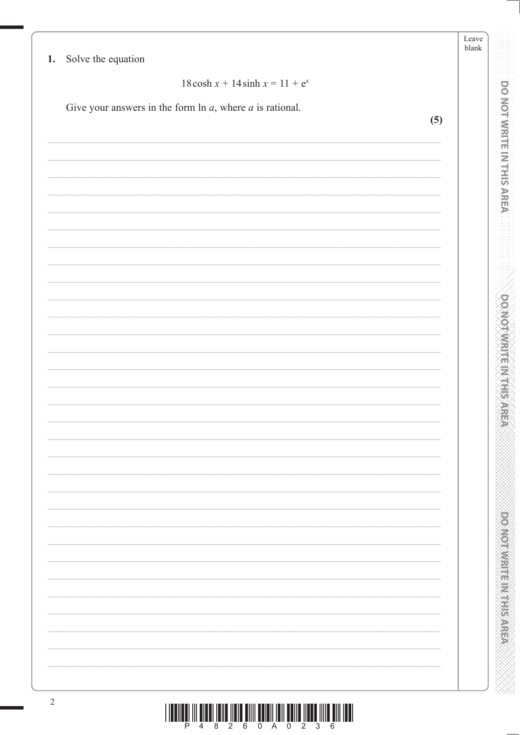|    |                                                                | Leave<br>$\ensuremath{\textrm{blank}}$ |                                  |
|----|----------------------------------------------------------------|----------------------------------------|----------------------------------|
| 1. | Solve the equation                                             |                                        |                                  |
|    | $18 \cosh x + 14 \sinh x = 11 + e^x$                           |                                        |                                  |
|    | Give your answers in the form $\ln a$ , where $a$ is rational. |                                        | <b>DOI WRITEIN THIS AREA</b>     |
|    | (5)                                                            |                                        |                                  |
|    |                                                                |                                        |                                  |
|    |                                                                |                                        |                                  |
|    |                                                                |                                        |                                  |
|    |                                                                |                                        |                                  |
|    |                                                                |                                        |                                  |
|    |                                                                |                                        |                                  |
|    |                                                                |                                        |                                  |
|    |                                                                |                                        |                                  |
|    |                                                                |                                        |                                  |
|    |                                                                |                                        |                                  |
|    |                                                                |                                        |                                  |
|    |                                                                |                                        |                                  |
|    |                                                                |                                        |                                  |
|    |                                                                |                                        |                                  |
|    |                                                                |                                        | MOTWRITEINTHISARE                |
|    |                                                                |                                        |                                  |
|    |                                                                |                                        |                                  |
|    |                                                                |                                        |                                  |
|    |                                                                |                                        |                                  |
|    |                                                                |                                        |                                  |
|    |                                                                |                                        |                                  |
|    |                                                                |                                        |                                  |
|    |                                                                |                                        |                                  |
|    |                                                                |                                        |                                  |
|    |                                                                |                                        |                                  |
|    |                                                                |                                        |                                  |
|    |                                                                |                                        | <b>POSTO NO NUMBER OF STREET</b> |
|    |                                                                |                                        |                                  |
|    |                                                                |                                        |                                  |
|    |                                                                |                                        |                                  |
|    |                                                                |                                        |                                  |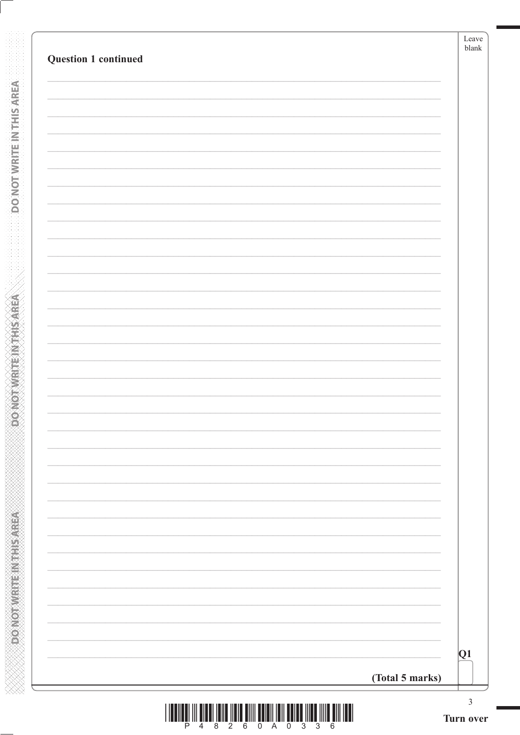| <b>Question 1 continued</b> |                 | Leave<br>${\tt blank}$ |
|-----------------------------|-----------------|------------------------|
|                             |                 |                        |
|                             |                 |                        |
|                             |                 |                        |
|                             |                 |                        |
|                             |                 |                        |
|                             |                 |                        |
|                             |                 |                        |
|                             |                 |                        |
|                             |                 |                        |
|                             |                 |                        |
|                             |                 |                        |
|                             |                 |                        |
|                             |                 |                        |
|                             |                 |                        |
|                             |                 |                        |
|                             |                 |                        |
|                             |                 |                        |
|                             |                 |                        |
|                             |                 |                        |
|                             |                 |                        |
|                             |                 |                        |
|                             |                 |                        |
|                             |                 |                        |
|                             |                 |                        |
|                             |                 |                        |
|                             |                 |                        |
|                             |                 | Q1                     |
|                             | (Total 5 marks) |                        |

**DONOTWEITEINTHISAREA** 

**Example 2014 The Model of Action**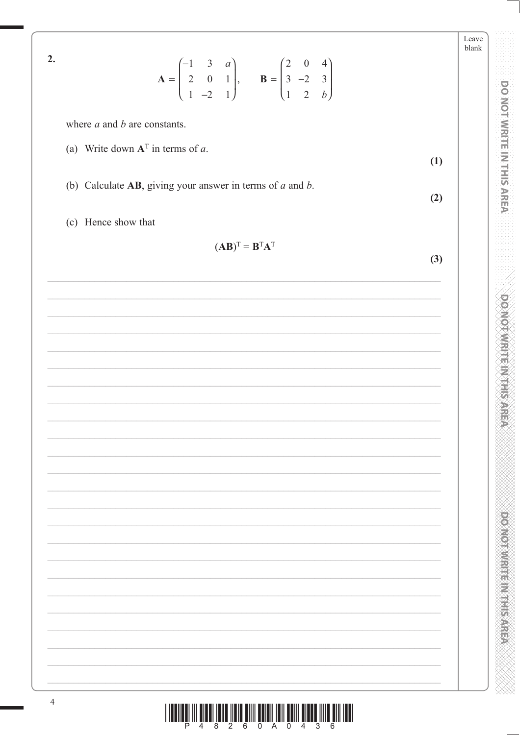Leave blank  $2.$  $\mathbf{A} = \begin{pmatrix} -1 & 3 & a \\ 2 & 0 & 1 \\ 1 & -2 & 1 \end{pmatrix}, \quad \mathbf{B} = \begin{pmatrix} 2 & 0 & 4 \\ 3 & -2 & 3 \\ 1 & 2 & b \end{pmatrix}$ where  $a$  and  $b$  are constants. (a) Write down  $A<sup>T</sup>$  in terms of a.  $(1)$ (b) Calculate  $AB$ , giving your answer in terms of  $a$  and  $b$ .  $(2)$ (c) Hence show that  $(AB)^T = B^T A^T$  $(3)$ 

DO NOT WRITE IN THIS AREA

**DOMOT/WRITE/M1HISAREA** 

**POSTORY CONTROL STATES** 

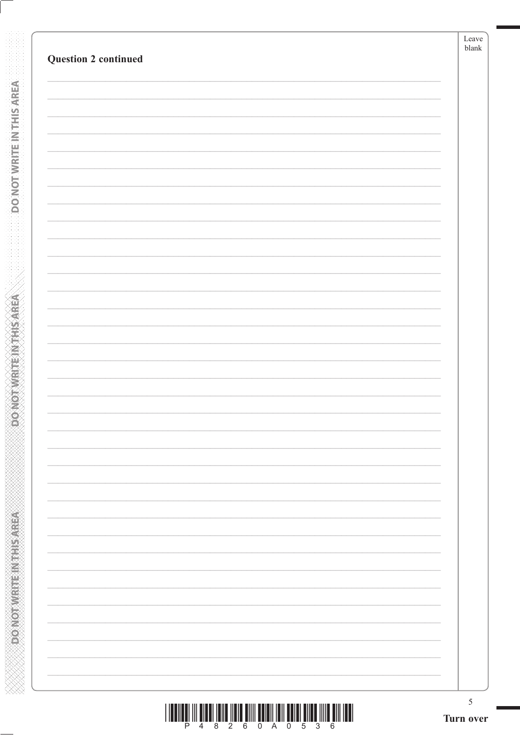| <b>Question 2 continued</b> | Leave<br>$_{\rm blank}$ |
|-----------------------------|-------------------------|
|                             |                         |
|                             |                         |
|                             |                         |
|                             |                         |
|                             |                         |
|                             |                         |
|                             |                         |
|                             |                         |
|                             |                         |
|                             |                         |
|                             |                         |
|                             |                         |
|                             |                         |
|                             |                         |
|                             |                         |
|                             |                         |
|                             |                         |
|                             |                         |
|                             |                         |
|                             |                         |
|                             |                         |
|                             |                         |
|                             |                         |
|                             |                         |
|                             |                         |
|                             |                         |
|                             |                         |
|                             |                         |
|                             |                         |
|                             |                         |
|                             |                         |
|                             |                         |
|                             |                         |
|                             |                         |
|                             |                         |
|                             |                         |
|                             |                         |

**DONOTWRITEINTHISAREA** 

**ABBASED MARKED AND TOWOOD**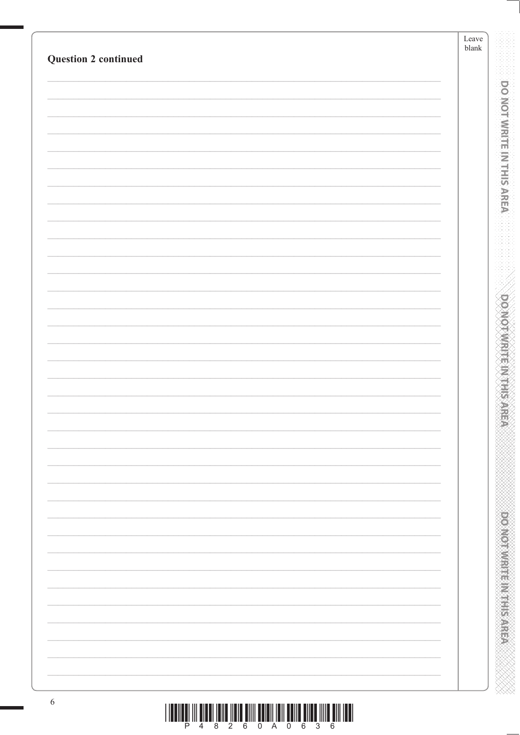| <b>Question 2 continued</b> | Leave<br>blank |  |
|-----------------------------|----------------|--|
|                             |                |  |
|                             |                |  |
|                             |                |  |
|                             |                |  |
|                             |                |  |
|                             |                |  |
|                             |                |  |
|                             |                |  |
|                             |                |  |
|                             |                |  |
|                             |                |  |
|                             |                |  |
|                             |                |  |
|                             |                |  |
|                             |                |  |
|                             |                |  |
|                             |                |  |
|                             |                |  |
|                             |                |  |
|                             |                |  |
|                             |                |  |
|                             |                |  |
|                             |                |  |
|                             |                |  |
|                             |                |  |
|                             |                |  |
|                             |                |  |
|                             |                |  |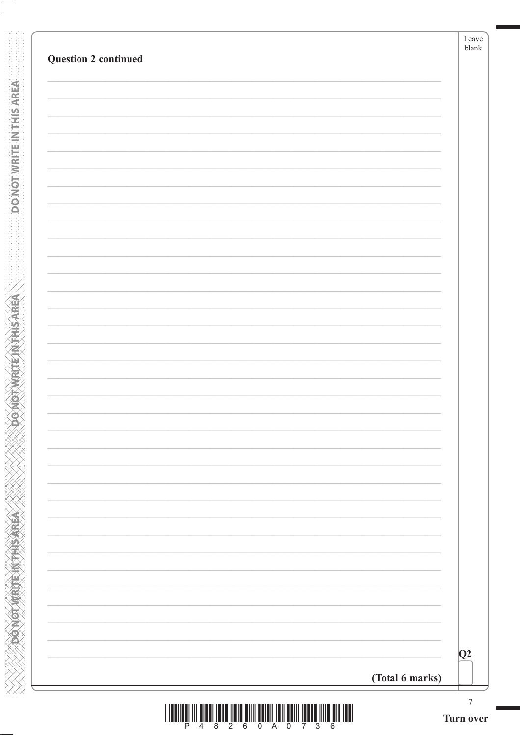| <b>Question 2 continued</b> |                 | Leave<br>blank                |
|-----------------------------|-----------------|-------------------------------|
|                             |                 |                               |
|                             |                 |                               |
|                             |                 |                               |
|                             |                 |                               |
|                             |                 |                               |
|                             |                 |                               |
|                             |                 |                               |
|                             |                 |                               |
|                             |                 |                               |
|                             |                 |                               |
|                             |                 |                               |
|                             |                 |                               |
|                             |                 |                               |
|                             |                 |                               |
|                             |                 |                               |
|                             |                 |                               |
|                             |                 |                               |
|                             |                 |                               |
|                             |                 |                               |
|                             |                 |                               |
|                             |                 |                               |
|                             |                 |                               |
|                             |                 |                               |
|                             |                 | Q2                            |
|                             | (Total 6 marks) |                               |
|                             |                 | $\boldsymbol{7}$<br>Turn over |

**DONOTWEITEINTHISAREA** 

**DONOTWRITEINTHSAREA**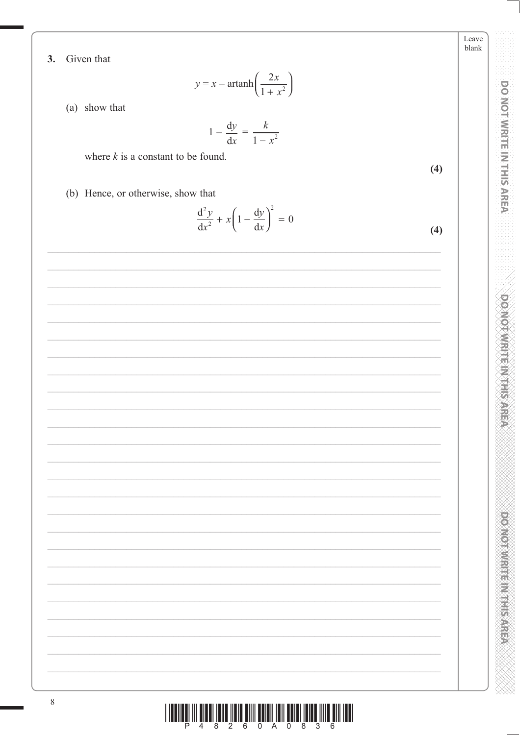Leave  $blank$ 

DO NOT WRITE IN THIS AREA

**DO NOT WRITE/MATHEMATIC** 

**DOMOTHUR IN EINER AREA** 

Given that  $3.$ 

$$
y = x - \operatorname{artanh}\left(\frac{2x}{1 + x^2}\right)
$$

(a) show that

$$
1 - \frac{\mathrm{d}y}{\mathrm{d}x} = \frac{k}{1 - x^2}
$$

where  $k$  is a constant to be found.

 $(4)$ 

(b) Hence, or otherwise, show that

$$
\frac{\mathrm{d}^2 y}{\mathrm{d}x^2} + x \left( 1 - \frac{\mathrm{d}y}{\mathrm{d}x} \right)^2 = 0 \tag{4}
$$

| $\,$ $\,$ |                                                                                                                                                                                                                                                                                                                                                                                                                                                               |  |
|-----------|---------------------------------------------------------------------------------------------------------------------------------------------------------------------------------------------------------------------------------------------------------------------------------------------------------------------------------------------------------------------------------------------------------------------------------------------------------------|--|
|           | $\begin{array}{c} \text{if} \ \text{if} \ \text{if} \ \text{if} \ \text{if} \ \text{if} \ \text{if} \ \text{if} \ \text{if} \ \text{if} \ \text{if} \ \text{if} \ \text{if} \ \text{if} \ \text{if} \ \text{if} \ \text{if} \ \text{if} \ \text{if} \ \text{if} \ \text{if} \ \text{if} \ \text{if} \ \text{if} \ \text{if} \ \text{if} \ \text{if} \ \text{if} \ \text{if} \ \text{if} \ \text{if} \ \text{if} \ \text{if} \ \text{if} \ \text{if} \ \text{$ |  |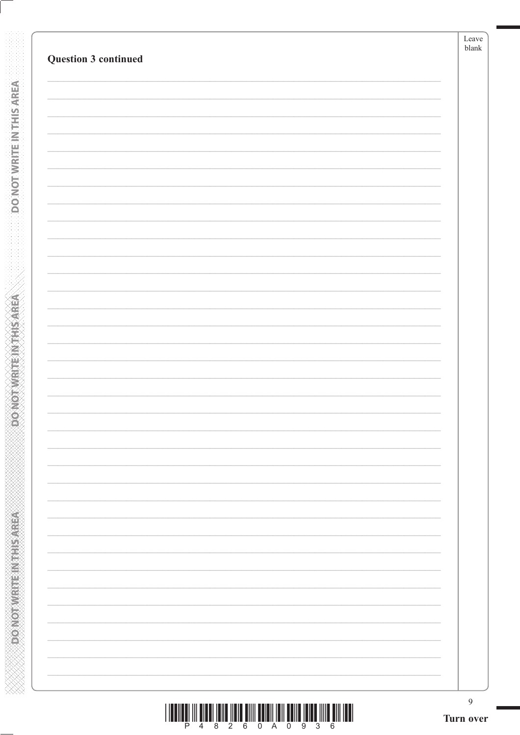| Question 3 continued | blank                    |
|----------------------|--------------------------|
|                      |                          |
|                      |                          |
|                      |                          |
|                      |                          |
|                      |                          |
|                      |                          |
|                      |                          |
|                      |                          |
|                      |                          |
|                      |                          |
|                      |                          |
|                      |                          |
|                      |                          |
|                      |                          |
|                      |                          |
|                      |                          |
|                      |                          |
|                      |                          |
|                      |                          |
|                      |                          |
|                      |                          |
|                      |                          |
|                      |                          |
|                      |                          |
|                      |                          |
|                      |                          |
|                      | $\overline{\phantom{0}}$ |
|                      |                          |
|                      |                          |
|                      | $\overline{\phantom{0}}$ |
|                      |                          |
|                      |                          |
|                      | $\overline{\phantom{0}}$ |
|                      |                          |
|                      |                          |
|                      |                          |

**DONOTWEITEIN THIS AREA** 

**ABBASED MARKED AND TOWOOD** 

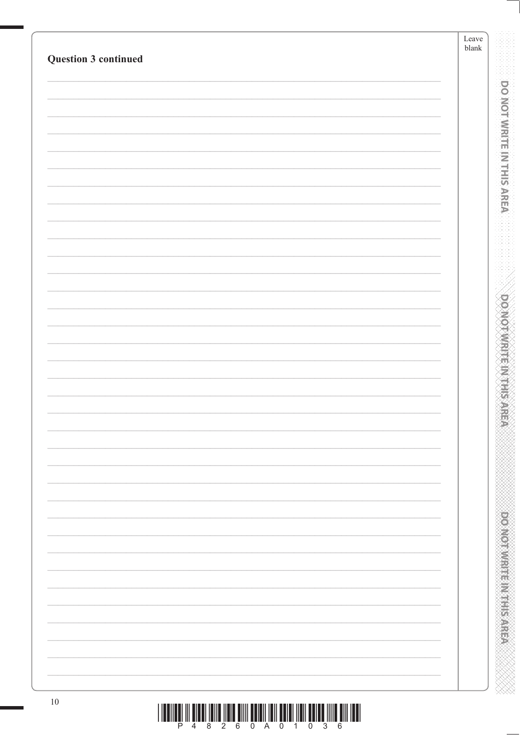| Question 3 continued | Leave<br>${\tt blank}$ |
|----------------------|------------------------|
|                      |                        |
|                      |                        |
|                      |                        |
|                      |                        |
|                      |                        |
|                      |                        |
|                      |                        |
|                      |                        |
|                      |                        |
|                      |                        |
|                      |                        |
|                      |                        |
|                      |                        |
|                      |                        |
|                      |                        |
|                      |                        |
|                      |                        |
|                      |                        |
|                      |                        |
|                      |                        |
|                      |                        |
|                      |                        |
|                      |                        |
|                      |                        |
|                      |                        |
|                      |                        |
|                      |                        |
|                      |                        |
| $10\,$               |                        |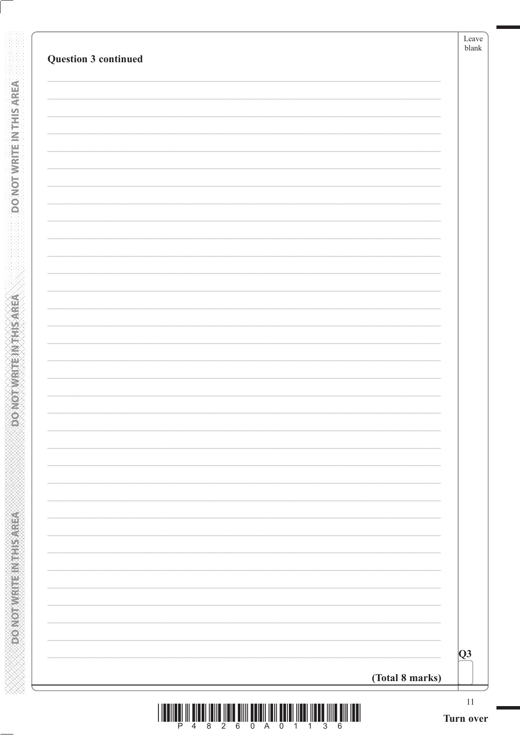| Q3 |
|----|

**DONOTWRITE IN THIS AREA** 

**ASSINGLINE IN EARLY CONCOR**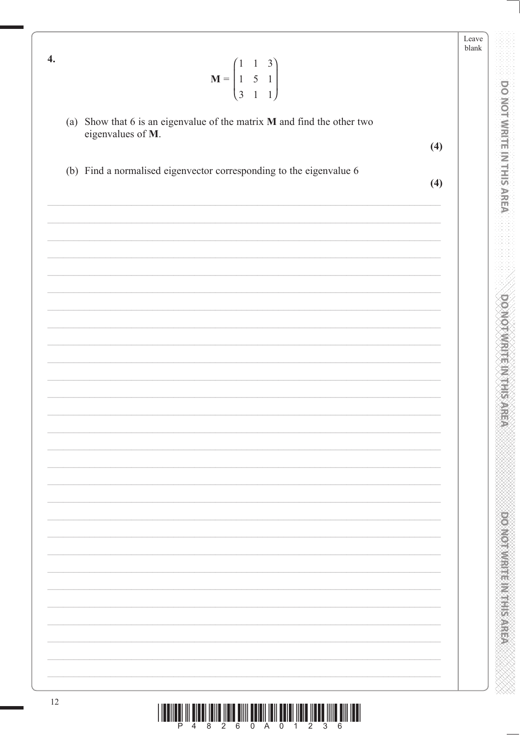| 4.                | $\mathbf{M} = \begin{pmatrix} 1 & 1 & 3 \\ 1 & 5 & 1 \\ 3 & 1 & 1 \end{pmatrix}$ | Leave<br>blank |
|-------------------|----------------------------------------------------------------------------------|----------------|
| eigenvalues of M. | (a) Show that $6$ is an eigenvalue of the matrix $M$ and find the other two      |                |
|                   | (4)                                                                              |                |
|                   | (b) Find a normalised eigenvector corresponding to the eigenvalue 6<br>(4)       |                |
|                   |                                                                                  |                |
|                   |                                                                                  |                |
|                   |                                                                                  |                |
|                   |                                                                                  |                |
|                   |                                                                                  |                |
|                   |                                                                                  |                |
|                   |                                                                                  |                |
|                   |                                                                                  |                |
|                   |                                                                                  |                |
|                   |                                                                                  |                |
|                   |                                                                                  |                |
|                   |                                                                                  |                |
|                   |                                                                                  |                |
|                   |                                                                                  |                |
|                   |                                                                                  |                |

**DOMOTVIRITEM HIS AREA** 

**PONORUMENT PLANS AREA**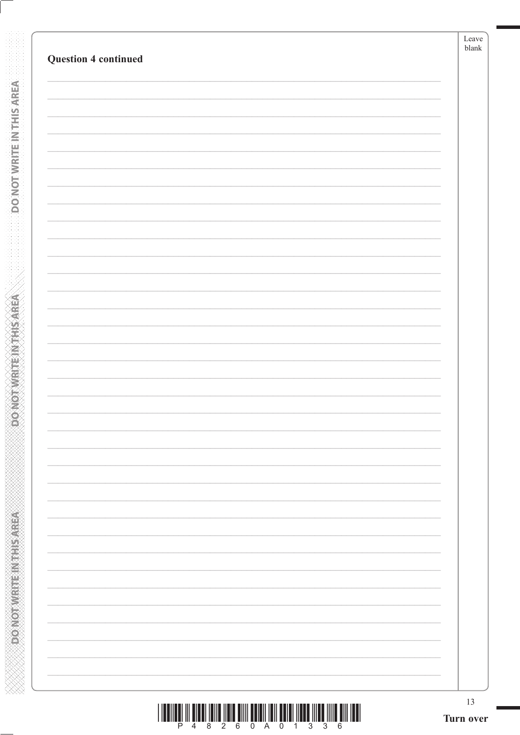| 13<br>Turn over |
|-----------------|
|                 |
|                 |
|                 |
|                 |
|                 |
|                 |
|                 |
|                 |
|                 |
|                 |
|                 |
|                 |
|                 |
|                 |
|                 |
|                 |
|                 |
|                 |
|                 |
|                 |
|                 |
|                 |
|                 |
|                 |
|                 |
|                 |
|                 |
|                 |
|                 |
|                 |
|                 |
|                 |
|                 |
|                 |
|                 |

**DONOT WRITE IN THIS AREA** 

**ASSASSMENT PROVIDED** 

|  |  |  | 4 8 2 6 0 A 0 1 3 3 |  |  | . 6. |
|--|--|--|---------------------|--|--|------|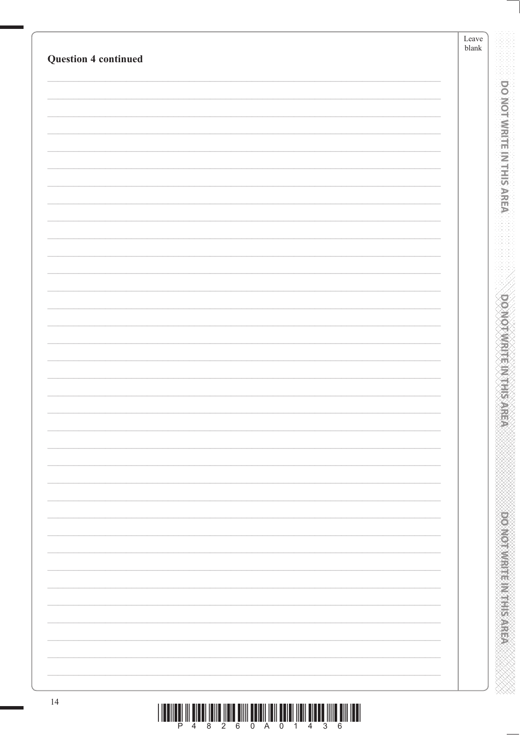| <b>Question 4 continued</b> | Leave<br>$b$ lank |
|-----------------------------|-------------------|
|                             |                   |
|                             |                   |
|                             |                   |
|                             |                   |
|                             |                   |
|                             |                   |
|                             |                   |
|                             |                   |
|                             |                   |
|                             |                   |
|                             |                   |
|                             |                   |
|                             |                   |
|                             |                   |
|                             |                   |
|                             |                   |
|                             |                   |
|                             |                   |
|                             |                   |
|                             |                   |
|                             |                   |
|                             |                   |
|                             |                   |
|                             |                   |
|                             |                   |
|                             |                   |
|                             |                   |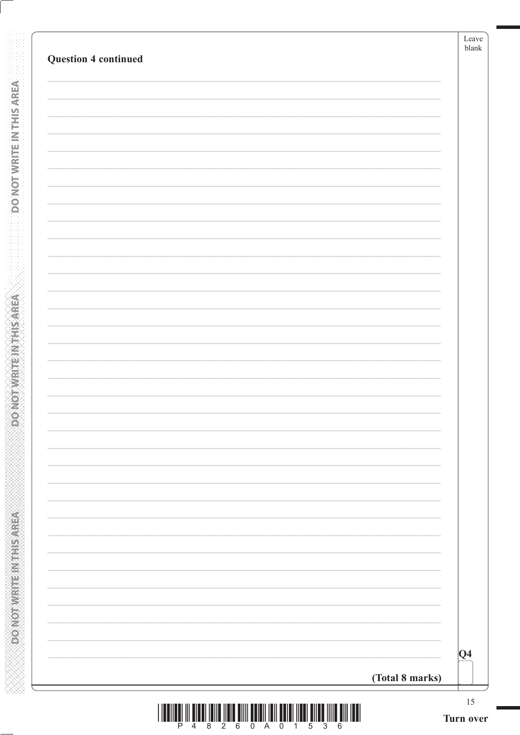| <b>Question 4 continued</b> |                 | blank   |
|-----------------------------|-----------------|---------|
|                             |                 |         |
|                             |                 |         |
|                             |                 |         |
|                             |                 |         |
|                             |                 |         |
|                             |                 |         |
|                             |                 |         |
|                             |                 |         |
|                             |                 |         |
|                             |                 |         |
|                             |                 |         |
|                             |                 |         |
|                             |                 |         |
|                             |                 |         |
|                             |                 |         |
|                             |                 |         |
|                             | (Total 8 marks) | $ Q_4 $ |

**DONOTWRITE IN THIS AREA** 

**PONOTWRITEINTHISAREA**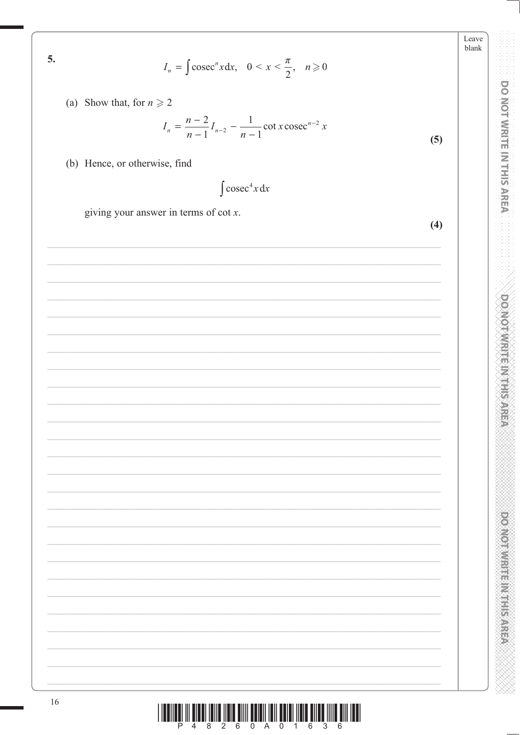$$
I_n = \int \csc^n x \, dx, \quad 0 < x < \frac{\pi}{2}, \quad n \ge 0
$$
\nShow that, for  $n \ge 2$ 

\n
$$
I_n = \frac{n-2}{n-1} I_{n-2} - \frac{1}{n-1} \cot x \csc^{n-2} x
$$
\nHence, or otherwise, find

\n
$$
\int \csc^4 x \, dx
$$
\ngiving your answer in terms of  $\cot x$ .

Leave blank

 $(5)$ 

 $(4)$ 

DO NOT WRITE IN THIS AREA

**DO NOT WRITE M REPAREM** 

**CONCORDING THE REPORT OF STATE** 

 $\begin{array}{c} \end{array} \begin{array}{c} \begin{array}{c} \begin{array}{c} \begin{array}{c} \begin{array}{c} \end{array} \\ \begin{array}{c} \end{array} \\ \begin{array}{c} \end{array} \\ \begin{array}{c} \end{array} \\ \begin{array}{c} \end{array} \\ \begin{array}{c} \end{array} \\ \begin{array}{c} \end{array} \\ \begin{array}{c} \end{array} \\ \begin{array}{c} \end{array} \\ \begin{array}{c} \end{array} \\ \begin{array}{c} \end{array} \\ \begin{array}{c} \end{array} \\ \begin{array}{c} \end{array} \\ \begin{array}{c} \end{array$ 

5.

 $(a)$ 

 $(b)$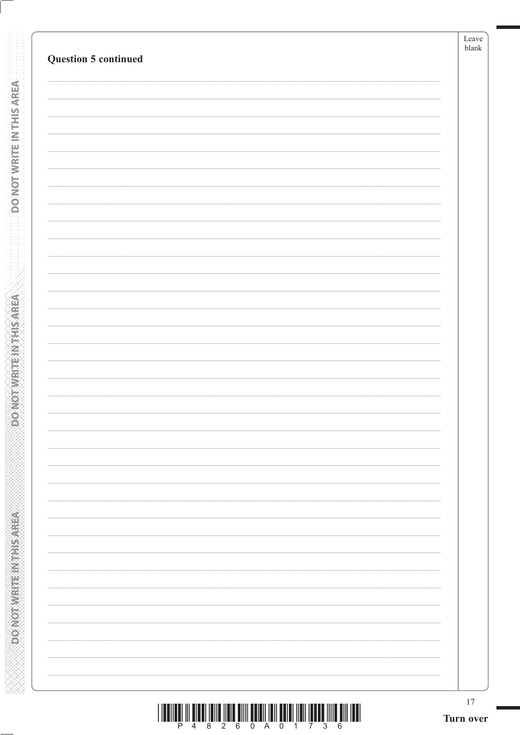| <b>Question 5 continued</b> |                          |  |
|-----------------------------|--------------------------|--|
|                             |                          |  |
|                             |                          |  |
|                             |                          |  |
|                             |                          |  |
|                             |                          |  |
|                             |                          |  |
|                             |                          |  |
|                             |                          |  |
|                             |                          |  |
|                             |                          |  |
|                             |                          |  |
|                             |                          |  |
|                             |                          |  |
|                             |                          |  |
|                             |                          |  |
|                             |                          |  |
|                             |                          |  |
|                             |                          |  |
|                             |                          |  |
|                             | $\overline{\phantom{0}}$ |  |
|                             |                          |  |
|                             |                          |  |
|                             |                          |  |
|                             |                          |  |
|                             |                          |  |
|                             |                          |  |

**DONOTWRITE IN THIS AREA** 

**DONOTWRITEIN THIS AREA**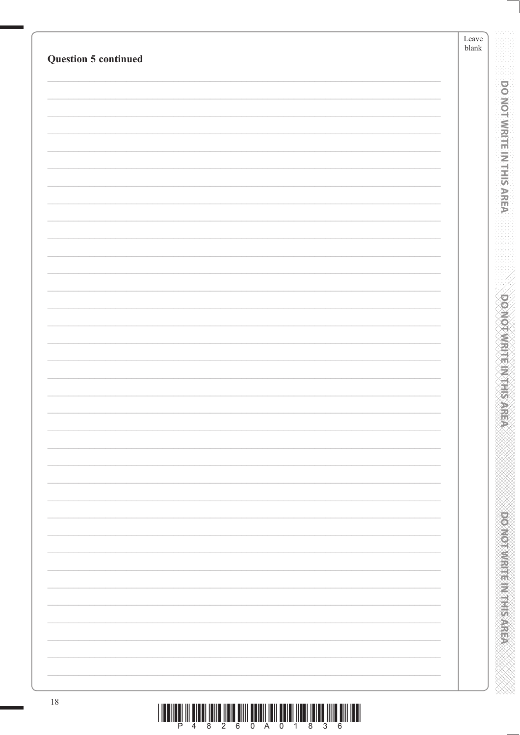| <b>Question 5 continued</b> |  | $\ensuremath{\mathit{blank}}$ |
|-----------------------------|--|-------------------------------|
|                             |  |                               |
|                             |  |                               |
|                             |  |                               |
|                             |  |                               |
|                             |  |                               |
|                             |  |                               |
|                             |  |                               |
|                             |  |                               |
|                             |  |                               |
|                             |  |                               |
|                             |  |                               |
|                             |  |                               |
|                             |  |                               |
|                             |  |                               |
|                             |  |                               |
|                             |  |                               |
|                             |  |                               |
|                             |  |                               |
|                             |  |                               |
|                             |  |                               |
|                             |  |                               |
|                             |  |                               |
|                             |  |                               |
|                             |  |                               |
|                             |  |                               |
|                             |  |                               |
|                             |  |                               |
|                             |  |                               |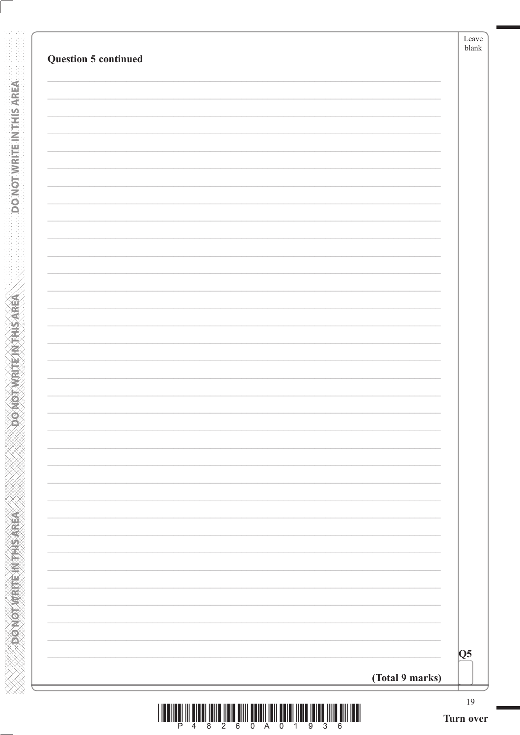| <b>Question 5 continued</b> |                        |
|-----------------------------|------------------------|
|                             |                        |
|                             |                        |
|                             |                        |
|                             |                        |
|                             |                        |
|                             |                        |
|                             |                        |
|                             |                        |
|                             |                        |
|                             |                        |
|                             |                        |
|                             |                        |
|                             |                        |
|                             |                        |
|                             |                        |
|                             |                        |
|                             |                        |
|                             | Q5 <br>(Total 9 marks) |

**DONOTWRITE IN THIS AREA** 

**DONOTWRITE INTHIS AREA**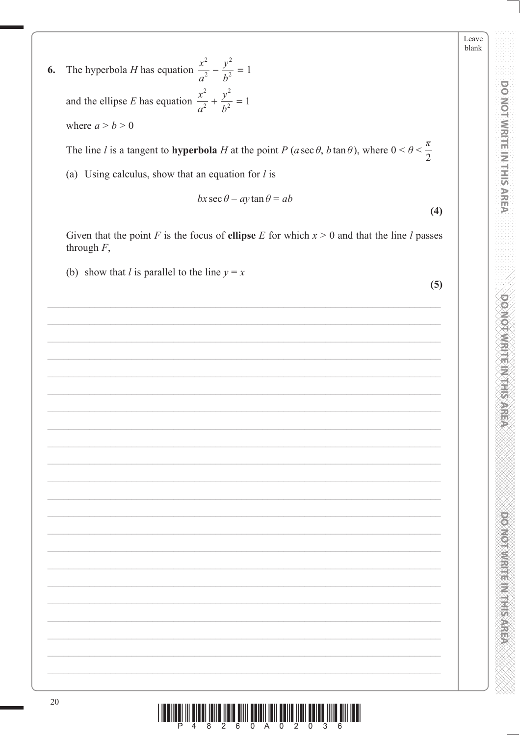Leave blank

**DOMOTWRITE(MTHISAREA** 

**DOMOROUS HEADS IN STREET** 

6. The hyperbola *H* has equation 
$$
\frac{x^2}{a^2} - \frac{y^2}{b^2} = 1
$$
and the ellipse *E* has equation 
$$
\frac{x^2}{a^2} + \frac{y^2}{b^2} = 1
$$
where  $a > b > 0$ 

The line l is a tangent to **hyperbola** H at the point P (a sec  $\theta$ , b tan  $\theta$ ), where  $0 < \theta < \frac{\pi}{2}$ 

Given that the point F is the focus of ellipse E for which  $x > 0$  and that the line l passes

(a) Using calculus, show that an equation for  $l$  is

(b) show that *l* is parallel to the line  $y = x$ 

through  $F$ ,

$$
bx \sec \theta - ay \tan \theta = ab
$$

 $(4)$ 

 $(5)$ 

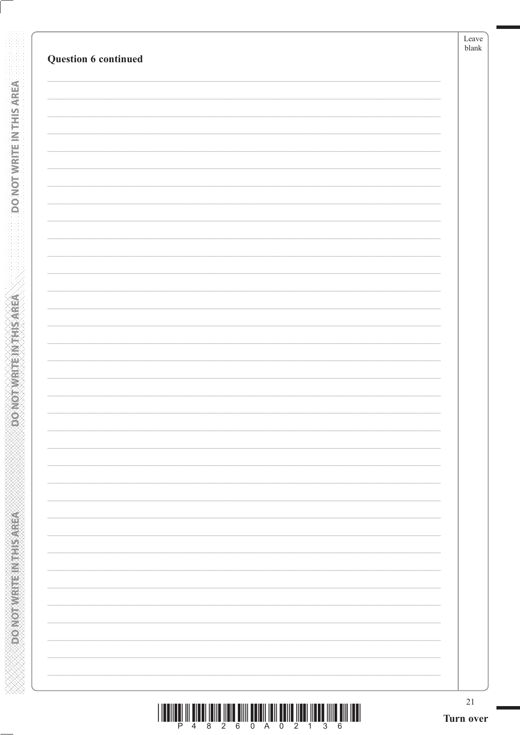| $21\,$<br>Turn over |
|---------------------|
|                     |
|                     |
|                     |
|                     |
|                     |
|                     |
|                     |
|                     |
|                     |
|                     |
|                     |
|                     |
|                     |
|                     |
|                     |
|                     |
|                     |
|                     |
|                     |
|                     |
|                     |
|                     |
|                     |

**DONOTWRITE IN THIS AREA** 

**ASISTED MEDIATORY ON GOVERN**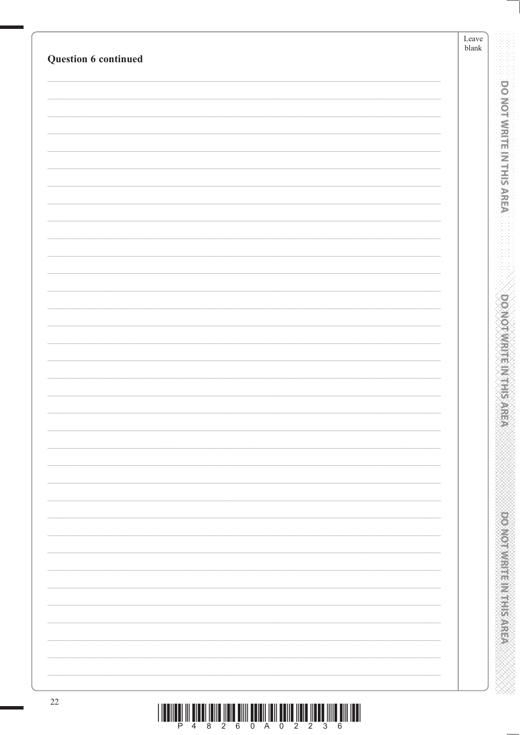| Question 6 continued | Leave<br>blank |                                  |
|----------------------|----------------|----------------------------------|
|                      |                |                                  |
|                      |                | <b>DO NOT WRITE IN THIS AREA</b> |
|                      |                |                                  |
|                      |                |                                  |
|                      |                |                                  |
|                      |                |                                  |
|                      |                |                                  |
|                      |                |                                  |
|                      |                |                                  |
|                      |                |                                  |
|                      |                |                                  |
|                      |                | <b>DOMOTAWRITENNIESARE</b>       |
|                      |                |                                  |
|                      |                |                                  |
|                      |                |                                  |
|                      |                |                                  |
|                      |                |                                  |
|                      |                |                                  |
|                      |                |                                  |
|                      |                |                                  |
|                      |                |                                  |
|                      |                |                                  |
|                      |                |                                  |
|                      |                |                                  |
|                      |                | <b>DONOMIAL REPORT SARRA</b>     |
|                      |                |                                  |
|                      |                |                                  |
|                      |                |                                  |
|                      |                |                                  |
| $22\,$               |                |                                  |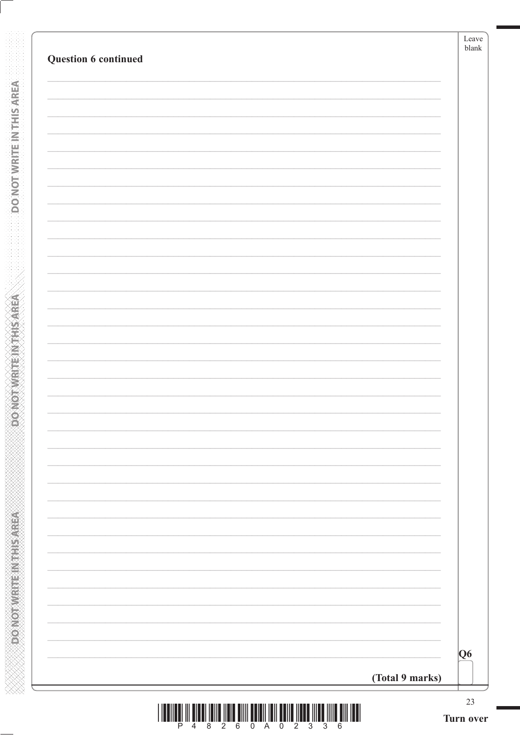|  | Q6 |
|--|----|

**DONOTWRITE IN THIS AREA** 

**ASSINGLINE IN EARLY CONGOT**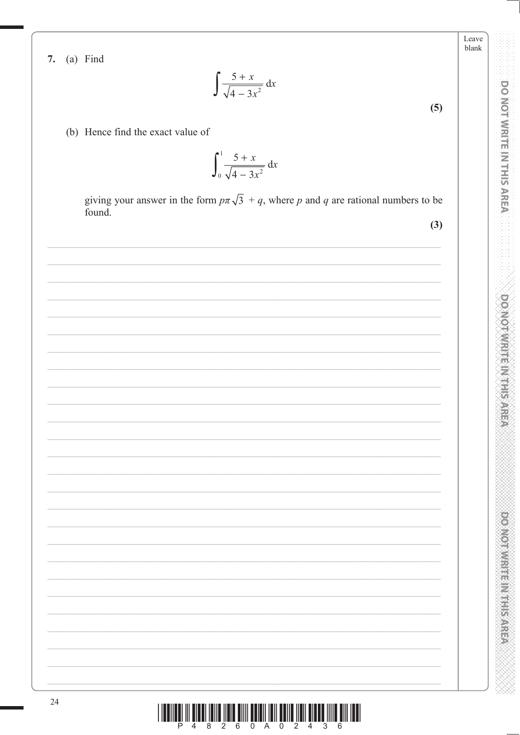Leave blank

**DOMOTAWRITE M11HIS AREA** 

**POSTORY CONTROL STATES** 



24

- (b) Hence find the exact value of
	- $\int_0^1 \frac{5+x}{\sqrt{4-3x^2}} dx$

 $\int \frac{5+x}{\sqrt{4-3x^2}} dx$ 

giving your answer in the form  $p\pi\sqrt{3} + q$ , where p and q are rational numbers to be found.

 $(3)$ 

 $(5)$ 

7. (a) Find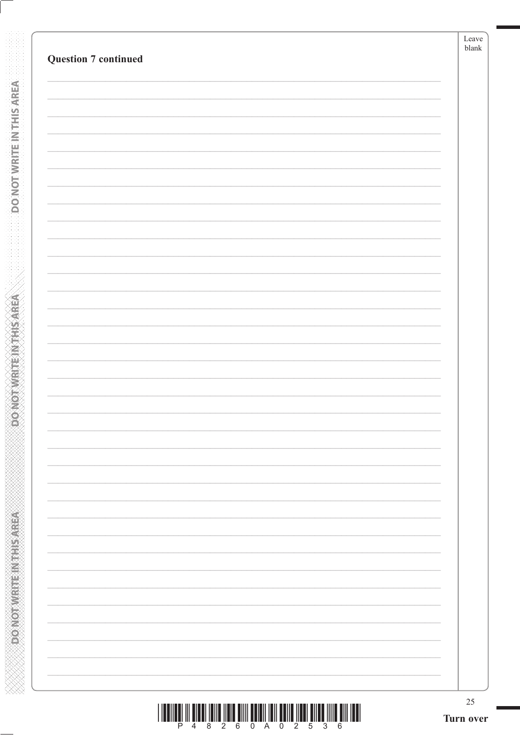| <b>Question 7 continued</b> |  |  |
|-----------------------------|--|--|
|                             |  |  |
|                             |  |  |
|                             |  |  |
|                             |  |  |
|                             |  |  |
|                             |  |  |
|                             |  |  |
|                             |  |  |
|                             |  |  |
|                             |  |  |
|                             |  |  |
|                             |  |  |
|                             |  |  |
|                             |  |  |
|                             |  |  |
|                             |  |  |
|                             |  |  |
|                             |  |  |
|                             |  |  |
|                             |  |  |
|                             |  |  |
|                             |  |  |
|                             |  |  |
|                             |  |  |
|                             |  |  |
|                             |  |  |
|                             |  |  |
|                             |  |  |
|                             |  |  |
|                             |  |  |
|                             |  |  |

**DONOTWRITE IN THIS AREA** 

**DONOTWRITEIN THIS AREA**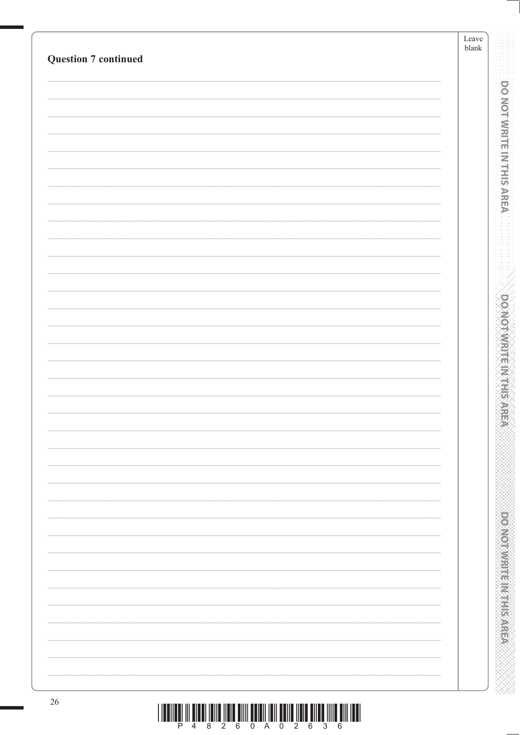| <b>Question 7 continued</b> | Leave<br>$\ensuremath{\mathit{blank}}$ |
|-----------------------------|----------------------------------------|
|                             |                                        |
|                             |                                        |
|                             |                                        |
|                             |                                        |
|                             |                                        |
|                             |                                        |
|                             |                                        |
|                             |                                        |
|                             |                                        |
|                             |                                        |
|                             |                                        |
|                             |                                        |
|                             |                                        |
|                             |                                        |
|                             |                                        |
|                             |                                        |
|                             |                                        |
|                             |                                        |
|                             |                                        |
|                             |                                        |
|                             |                                        |
|                             |                                        |
|                             |                                        |
|                             |                                        |
|                             |                                        |
|                             |                                        |
|                             |                                        |
|                             |                                        |
|                             |                                        |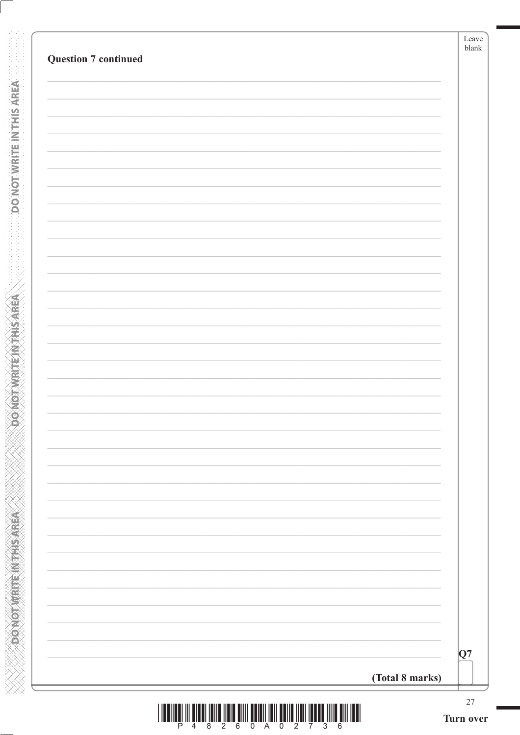| <b>Question 7 continued</b> |                 |
|-----------------------------|-----------------|
|                             |                 |
|                             |                 |
|                             |                 |
|                             |                 |
|                             |                 |
|                             |                 |
|                             |                 |
|                             |                 |
|                             |                 |
|                             |                 |
|                             |                 |
|                             |                 |
|                             |                 |
|                             |                 |
|                             |                 |
|                             |                 |
|                             |                 |
|                             |                 |
|                             |                 |
|                             |                 |
|                             | Q7              |
|                             | (Total 8 marks) |

**DONOTWRITE IN THIS AREA** 

**PONOTWRITEINTHISAREA**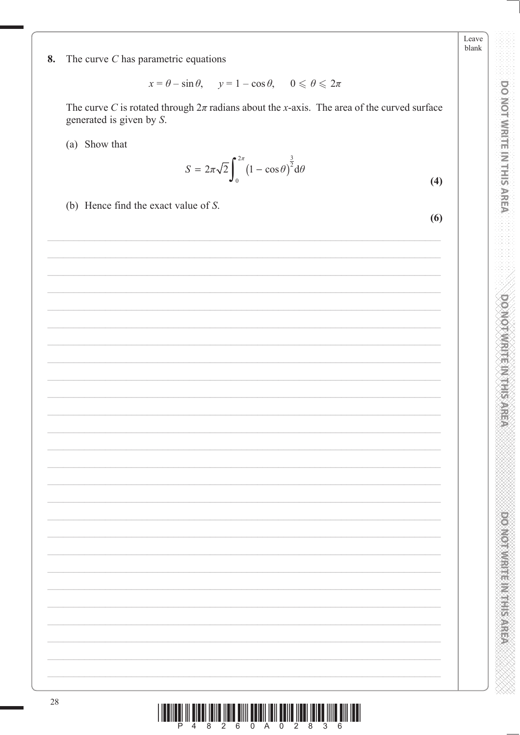Leave blank

DO NOT WRITE IN THIS AREA

**DOMOTWRITE(MTHISAREA** 

DOMOUNTHING HIS NEWS

The curve  $C$  has parametric equations 8.

 $x = \theta - \sin \theta$ ,  $y = 1 - \cos \theta$ ,  $0 \le \theta \le 2\pi$ 

The curve C is rotated through  $2\pi$  radians about the x-axis. The area of the curved surface generated is given by S.

(a) Show that

$$
S = 2\pi\sqrt{2}\int_0^{2\pi} (1 - \cos\theta)^{\frac{3}{2}} d\theta \tag{4}
$$

(b) Hence find the exact value of  $S$ .

 $(6)$ 

|  |  |  | <u>TENERI IN BILBI IBIN HITLE BIN BENEN HIT BIN HIT HET HIT BIN HET.</u> |  |  |  |
|--|--|--|--------------------------------------------------------------------------|--|--|--|
|  |  |  |                                                                          |  |  |  |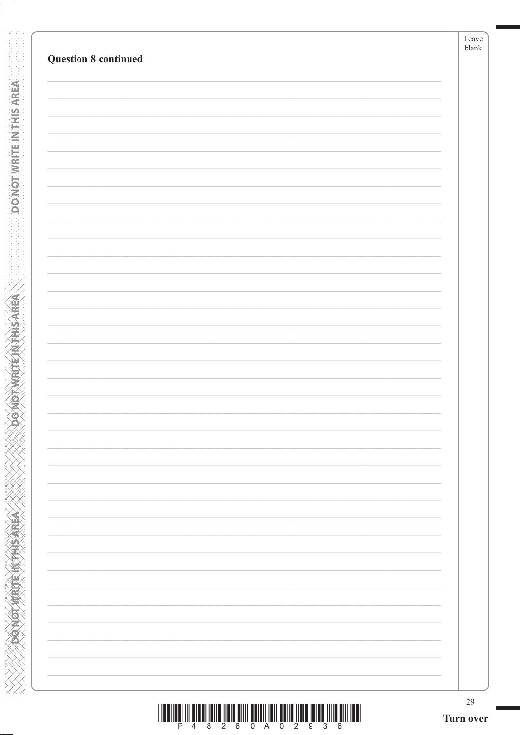| <b>Question 8 continued</b> |  |
|-----------------------------|--|
|                             |  |
|                             |  |
|                             |  |
|                             |  |
|                             |  |
|                             |  |
|                             |  |
|                             |  |
|                             |  |
|                             |  |
|                             |  |
|                             |  |
|                             |  |
|                             |  |
|                             |  |
|                             |  |
|                             |  |
|                             |  |
|                             |  |
|                             |  |
|                             |  |
|                             |  |
|                             |  |

**DONOTWRITE IN THIS AREA** 

**DONOTWRITEIN THIS AREA**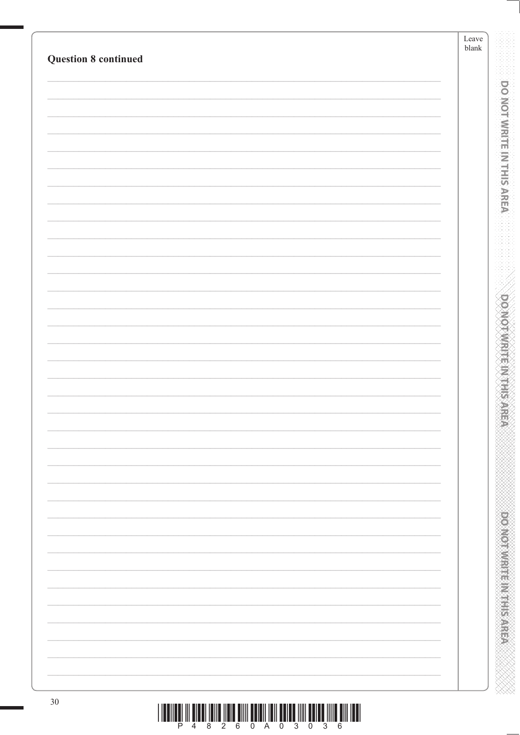| <b>Question 8 continued</b> | Leave<br>$\ensuremath{\mathit{blank}}$ |
|-----------------------------|----------------------------------------|
|                             |                                        |
|                             |                                        |
|                             |                                        |
|                             |                                        |
|                             |                                        |
|                             |                                        |
|                             |                                        |
|                             |                                        |
|                             |                                        |
|                             |                                        |
|                             |                                        |
|                             |                                        |
|                             |                                        |
|                             |                                        |
|                             |                                        |
|                             |                                        |
|                             |                                        |
|                             |                                        |
|                             |                                        |
|                             |                                        |
|                             |                                        |
|                             |                                        |
|                             |                                        |
|                             |                                        |
|                             |                                        |
|                             |                                        |
|                             |                                        |
|                             |                                        |
|                             |                                        |
|                             |                                        |
|                             |                                        |
|                             |                                        |
|                             |                                        |
|                             |                                        |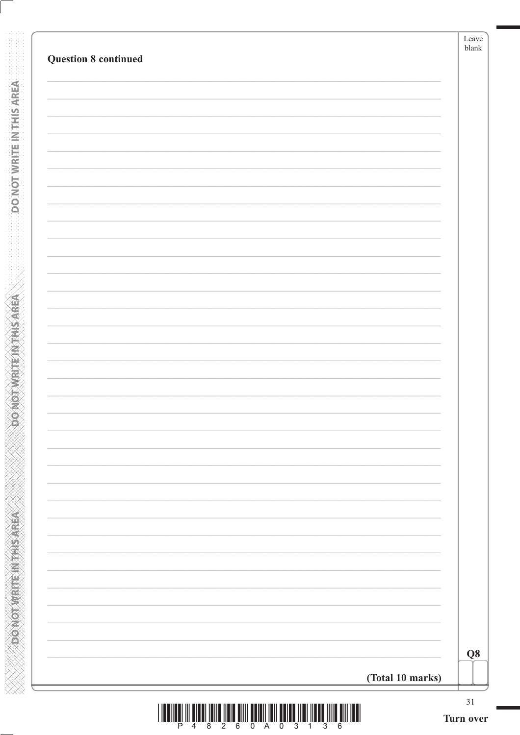|  | $\bf Q8$ |
|--|----------|

**DO NOT WRITE IN THIS AREA** 

**ASSESSMENT PRODUCT** 

| Turn over |  |
|-----------|--|
|           |  |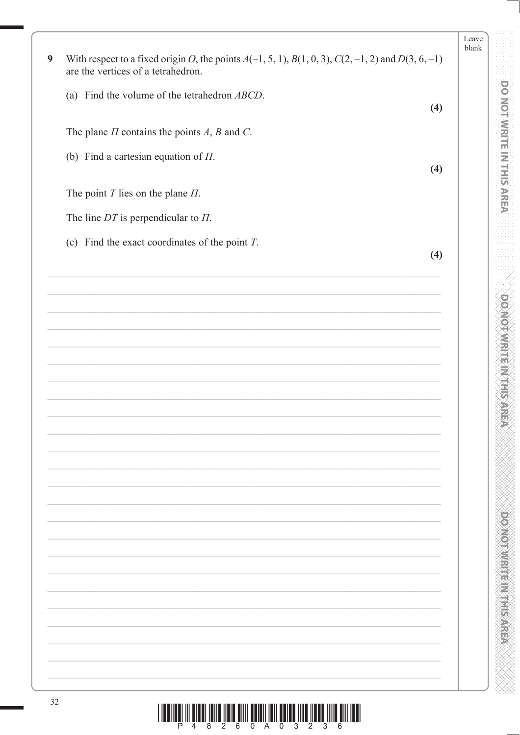|    |                                                                                                                                                   | Leave<br>blank |
|----|---------------------------------------------------------------------------------------------------------------------------------------------------|----------------|
| 9  | With respect to a fixed origin O, the points $A(-1, 5, 1)$ , $B(1, 0, 3)$ , $C(2, -1, 2)$ and $D(3, 6, -1)$<br>are the vertices of a tetrahedron. |                |
|    | (a) Find the volume of the tetrahedron $ABCD$ .<br>(4)                                                                                            |                |
|    | The plane $\Pi$ contains the points $A$ , $B$ and $C$ .                                                                                           |                |
|    | (b) Find a cartesian equation of $\Pi$ .<br>(4)                                                                                                   |                |
|    | The point $T$ lies on the plane $\Pi$ .                                                                                                           |                |
|    | The line $DT$ is perpendicular to $\Pi$ .                                                                                                         |                |
|    | (c) Find the exact coordinates of the point $T$ .<br>(4)                                                                                          |                |
|    |                                                                                                                                                   |                |
|    |                                                                                                                                                   |                |
|    |                                                                                                                                                   |                |
|    |                                                                                                                                                   |                |
|    |                                                                                                                                                   |                |
|    |                                                                                                                                                   |                |
|    |                                                                                                                                                   |                |
|    |                                                                                                                                                   |                |
|    |                                                                                                                                                   |                |
|    |                                                                                                                                                   |                |
|    |                                                                                                                                                   |                |
|    |                                                                                                                                                   |                |
|    |                                                                                                                                                   |                |
|    |                                                                                                                                                   |                |
|    |                                                                                                                                                   |                |
|    |                                                                                                                                                   |                |
| 32 | <u> 1 IEEINEEL III BIBBI IBIIB IIBIB BIIII BBIBII IBII BBIBB IIIIB IIBBB IIIIB BIII IBBI</u>                                                      |                |

**DOMOTAMENT INTERNET** 

**DOOMRITE IN THIS AREA** 

XXXXX

 $\frac{1}{2}$   $\frac{1}{3}$   $\frac{1}{6}$   $\frac{1}{4}$   $\frac{1}{6}$   $\frac{1}{8}$   $\frac{1}{2}$   $\frac{1}{6}$   $\frac{1}{6}$   $\frac{1}{10}$   $\frac{1}{2}$   $\frac{1}{10}$   $\frac{1}{2}$   $\frac{1}{10}$   $\frac{1}{2}$   $\frac{1}{10}$   $\frac{1}{2}$   $\frac{1}{6}$   $\frac{1}{10}$   $\frac{1}{10}$   $\frac{1}{10}$   $\frac{$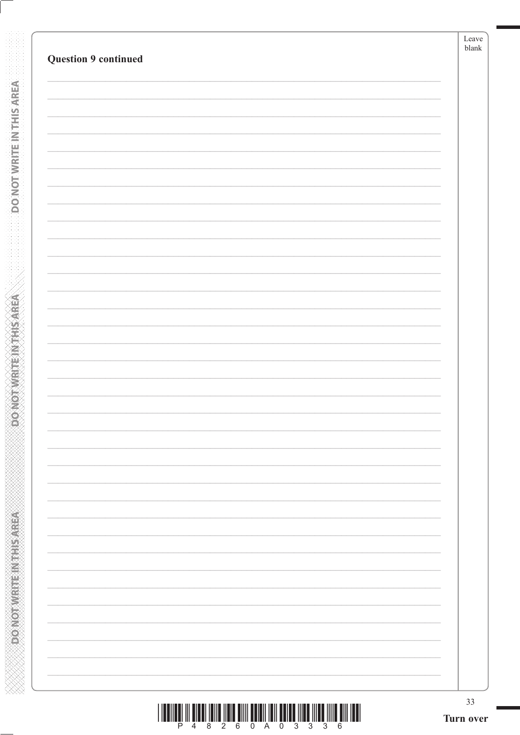| 33<br>Turn over |
|-----------------|
|                 |
|                 |
|                 |
|                 |
|                 |
|                 |
|                 |
|                 |
|                 |
|                 |
|                 |
|                 |
|                 |
|                 |
|                 |
|                 |
|                 |
|                 |
|                 |
|                 |
|                 |
|                 |
|                 |
|                 |
|                 |
|                 |
|                 |
|                 |
|                 |
|                 |
|                 |
|                 |
|                 |
|                 |
|                 |
|                 |

**DONOT WRITE IN THIS AREA** 

**ASSASSMENT PROVIDED** 

|  |  |  | 4 8 2 6 0 A 0 | 3336 |  |  |
|--|--|--|---------------|------|--|--|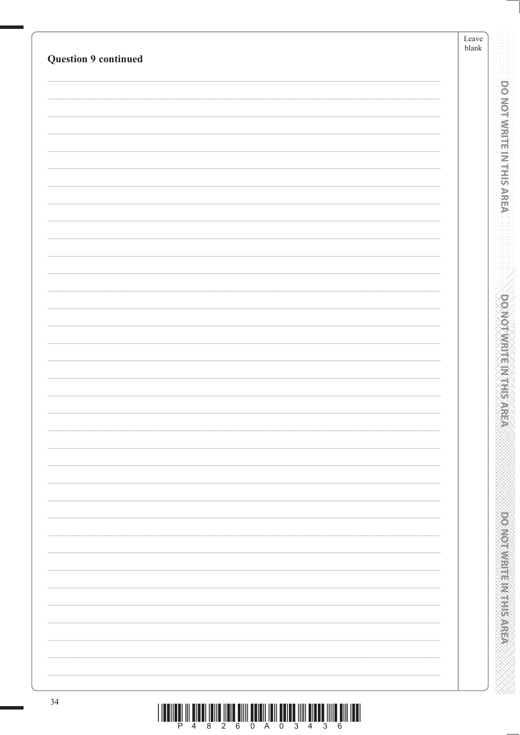| <b>Question 9 continued</b> | $\ensuremath{\mathit{blank}}$ |
|-----------------------------|-------------------------------|
|                             |                               |
|                             |                               |
|                             |                               |
|                             |                               |
|                             |                               |
|                             |                               |
|                             |                               |
|                             |                               |
|                             |                               |
|                             |                               |
|                             |                               |
|                             |                               |
|                             |                               |
|                             |                               |
|                             |                               |
|                             |                               |
|                             |                               |
|                             |                               |
|                             |                               |
|                             |                               |
|                             |                               |
|                             |                               |
|                             |                               |
|                             |                               |
|                             |                               |
|                             |                               |
|                             |                               |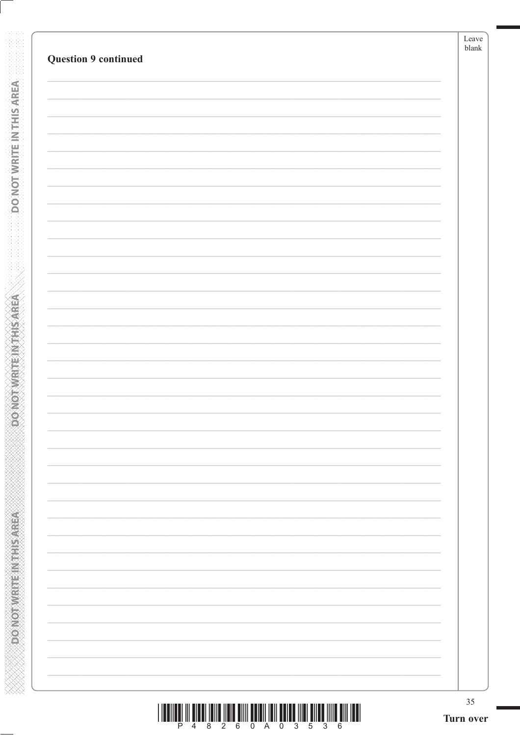| <b>Question 9 continued</b> | $b$ lank |
|-----------------------------|----------|
|                             |          |
|                             |          |
|                             |          |
|                             |          |
|                             |          |
|                             |          |
|                             |          |
|                             |          |
|                             |          |
|                             |          |
|                             |          |
|                             |          |
|                             |          |
|                             |          |
|                             |          |
|                             |          |
|                             |          |
|                             |          |
|                             |          |
|                             |          |
|                             |          |
|                             |          |
|                             |          |
|                             |          |
|                             |          |
|                             |          |
|                             |          |
|                             |          |
|                             |          |
|                             |          |
|                             |          |

**DONOTWEITENVTHSAREA** 

**RESISTED MARKED** 

| <u> I TERRIT IN DIE BEGINNER DER EIN DIE BEGINNER DER EIN DIE BEGINNER DER EIN DIE BEGINNER DER EIN DIE BEGINNER </u> |  |  |  |  |  |  |
|-----------------------------------------------------------------------------------------------------------------------|--|--|--|--|--|--|
|                                                                                                                       |  |  |  |  |  |  |